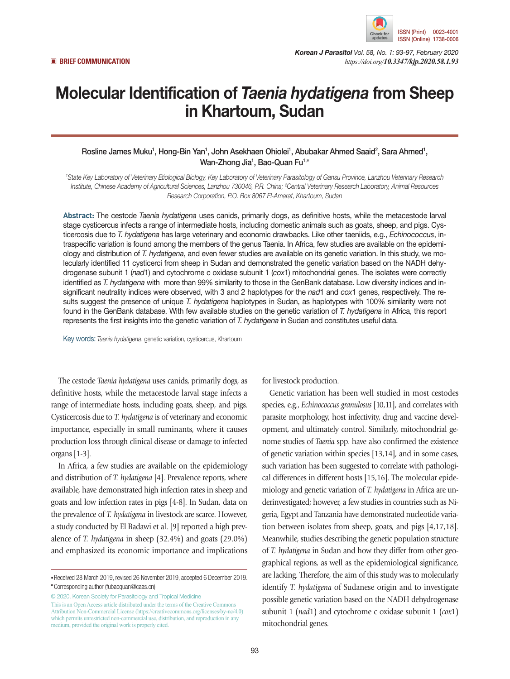

*Korean J Parasitol Vol. 58, No. 1: 93-97, February 2020* ▣ **BRIEF COMMUNICATION** *https://doi.org/10.3347/kjp.2020.58.1.93*

# Molecular Identification of *Taenia hydatigena* from Sheep in Khartoum, Sudan

# Rosline James Muku<sup>1</sup>, Hong-Bin Yan<sup>1</sup>, John Asekhaen Ohiolei<sup>1</sup>, Abubakar Ahmed Saaid<sup>2</sup>, Sara Ahmed<sup>1</sup>, Wan-Zhong Jia1 , Bao-Quan Fu1,**\***

*1 State Key Laboratory of Veterinary Etiological Biology, Key Laboratory of Veterinary Parasitology of Gansu Province, Lanzhou Veterinary Research Institute, Chinese Academy of Agricultural Sciences, Lanzhou 730046, P.R. China; 2 Central Veterinary Research Laboratory, Animal Resources Research Corporation, P.O. Box 8067 El-Amarat, Khartoum, Sudan*

**Abstract:** The cestode *Taenia hydatigena* uses canids, primarily dogs, as definitive hosts, while the metacestode larval stage cysticercus infects a range of intermediate hosts, including domestic animals such as goats, sheep, and pigs. Cysticercosis due to *T. hydatigena* has large veterinary and economic drawbacks. Like other taeniids, e.g., *Echinococcus*, intraspecific variation is found among the members of the genus Taenia. In Africa, few studies are available on the epidemiology and distribution of *T. hydatigena*, and even fewer studies are available on its genetic variation. In this study, we molecularly identified 11 cysticerci from sheep in Sudan and demonstrated the genetic variation based on the NADH dehydrogenase subunit 1 (*nad*1) and cytochrome c oxidase subunit 1 (*cox*1) mitochondrial genes. The isolates were correctly identified as *T. hydatigena* with more than 99% similarity to those in the GenBank database. Low diversity indices and insignificant neutrality indices were observed, with 3 and 2 haplotypes for the *nad*1 and *cox*1 genes, respectively. The results suggest the presence of unique *T. hydatigena* haplotypes in Sudan, as haplotypes with 100% similarity were not found in the GenBank database. With few available studies on the genetic variation of *T. hydatigena* in Africa, this report represents the first insights into the genetic variation of *T. hydatigena* in Sudan and constitutes useful data.

Key words: *Taenia hydatigena*, genetic variation, cysticercus, Khartoum

The cestode *Taenia hydatigena* uses canids, primarily dogs, as definitive hosts, while the metacestode larval stage infects a range of intermediate hosts, including goats, sheep, and pigs. Cysticercosis due to *T. hydatigena* is of veterinary and economic importance, especially in small ruminants, where it causes production loss through clinical disease or damage to infected organs [1-3].

In Africa, a few studies are available on the epidemiology and distribution of *T. hydatigena* [4]. Prevalence reports, where available, have demonstrated high infection rates in sheep and goats and low infection rates in pigs [4-8]. In Sudan, data on the prevalence of *T. hydatigena* in livestock are scarce. However, a study conducted by El Badawi et al. [9] reported a high prevalence of *T. hydatigena* in sheep (32.4%) and goats (29.0%) and emphasized its economic importance and implications

© 2020, Korean Society for Parasitology and Tropical Medicine This is an Open Access article distributed under the terms of the Creative Commons Attribution Non-Commercial License (https://creativecommons.org/licenses/by-nc/4.0) which permits unrestricted non-commercial use, distribution, and reproduction in any medium, provided the original work is properly cited.

for livestock production.

Genetic variation has been well studied in most cestodes species, e.g., *Echinococcus granulosus* [10,11], and correlates with parasite morphology, host infectivity, drug and vaccine development, and ultimately control. Similarly, mitochondrial genome studies of *Taenia* spp. have also confirmed the existence of genetic variation within species [13,14], and in some cases, such variation has been suggested to correlate with pathological differences in different hosts [15,16]. The molecular epidemiology and genetic variation of *T. hydatigena* in Africa are underinvestigated; however, a few studies in countries such as Nigeria, Egypt and Tanzania have demonstrated nucleotide variation between isolates from sheep, goats, and pigs [4,17,18]. Meanwhile, studies describing the genetic population structure of *T. hydatigena* in Sudan and how they differ from other geographical regions, as well as the epidemiological significance, are lacking. Therefore, the aim of this study was to molecularly identify *T. hydatigena* of Sudanese origin and to investigate possible genetic variation based on the NADH dehydrogenase subunit 1 (*nad*1) and cytochrome c oxidase subunit 1 (*cox*1) mitochondrial genes.

**<sup>•</sup>**Received 28 March 2019, revised 26 November 2019, accepted 6 December 2019. **\***Corresponding author (fubaoquan@caas.cn)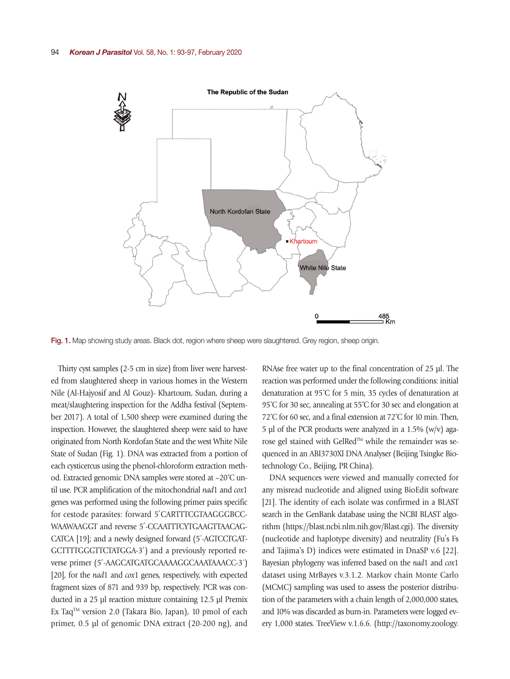

Fig. 1. Map showing study areas. Black dot, region where sheep were slaughtered. Grey region, sheep origin.

Thirty cyst samples (2-5 cm in size) from liver were harvested from slaughtered sheep in various homes in the Western Nile (Al-Hajyosif and Al Gouz)- Khartoum, Sudan, during a meat/slaughtering inspection for the Addha festival (September 2017). A total of 1,500 sheep were examined during the inspection. However, the slaughtered sheep were said to have originated from North Kordofan State and the west White Nile State of Sudan (Fig. 1). DNA was extracted from a portion of each cysticercus using the phenol-chloroform extraction method. Extracted genomic DNA samples were stored at –20˚C until use. PCR amplification of the mitochondrial *nad*1 and *cox*1 genes was performed using the following primer pairs specific for cestode parasites: forward 5′CARTTTCGTAAGGGBCC-WAAWAAGGT and reverse 5′-CCAATTTCYTGAAGTTAACAG-CATCA [19]; and a newly designed forward (5´-AGTCCTGAT-GCTTTTGGGTTCTATGGA-3′) and a previously reported reverse primer (5′-AAGCATGATGCAAAAGGCAAATAAACC-3´) [20], for the *nad*1 and *cox*1 genes, respectively, with expected fragment sizes of 871 and 939 bp, respectively. PCR was conducted in a 25 µl reaction mixture containing 12.5 μl Premix Ex Taq<sup>TM</sup> version 2.0 (Takara Bio, Japan), 10 pmol of each primer, 0.5 μl of genomic DNA extract (20-200 ng), and

RNAse free water up to the final concentration of 25 μl. The reaction was performed under the following conditions: initial denaturation at 95˚C for 5 min, 35 cycles of denaturation at 95°C for 30 sec, annealing at 55°C for 30 sec and elongation at 72˚C for 60 sec, and a final extension at 72˚C for 10 min. Then, 5 μl of the PCR products were analyzed in a 1.5% (w/v) agarose gel stained with GelRed™ while the remainder was sequenced in an ABI3730Xl DNA Analyser (Beijing Tsingke Biotechnology Co., Beijing, PR China).

DNA sequences were viewed and manually corrected for any misread nucleotide and aligned using BioEdit software [21]. The identity of each isolate was confirmed in a BLAST search in the GenBank database using the NCBI BLAST algorithm (https://blast.ncbi.nlm.nih.gov/Blast.cgi). The diversity (nucleotide and haplotype diversity) and neutrality (Fu's Fs and Tajima's D) indices were estimated in DnaSP v.6 [22]. Bayesian phylogeny was inferred based on the *nad*1 and *cox*1 dataset using MrBayes v.3.1.2. Markov chain Monte Carlo (MCMC) sampling was used to assess the posterior distribution of the parameters with a chain length of 2,000,000 states, and 10% was discarded as burn-in. Parameters were logged every 1,000 states. TreeView v.1.6.6. (http://taxonomy.zoology.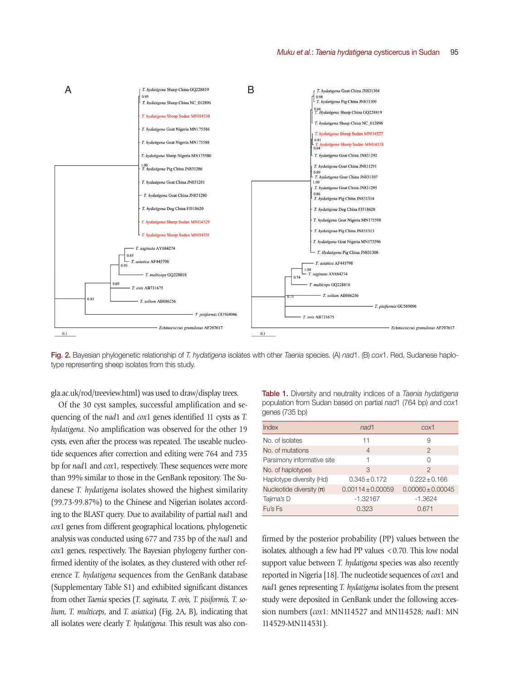

Fig. 2. Bayesian phylogenetic relationship of *T. hydatigena* isolates with other *Taenia* species. (A) *nad*1. (B) *cox*1. Red, Sudanese haplotype representing sheep isolates from this study.

gla.ac.uk/rod/treeview.html) was used to draw/display trees.

Of the 30 cyst samples, successful amplification and sequencing of the *nad*1 and *cox*1 genes identified 11 cysts as *T. hydatigena*. No amplification was observed for the other 19 cysts, even after the process was repeated. The useable nucleotide sequences after correction and editing were 764 and 735 bp for *nad*1 and *cox*1, respectively. These sequences were more than 99% similar to those in the GenBank repository. The Sudanese *T. hydatigena* isolates showed the highest similarity (99.73-99.87%) to the Chinese and Nigerian isolates according to the BLAST query. Due to availability of partial *nad*1 and *cox*1 genes from different geographical locations, phylogenetic analysis was conducted using 677 and 735 bp of the *nad*1 and *cox*1 genes, respectively. The Bayesian phylogeny further confirmed identity of the isolates, as they clustered with other reference *T. hydatigena* sequences from the GenBank database (Supplementary Table S1) and exhibited significant distances from other *Taenia* species (*T. saginata, T. ovis, T. pisiformis, T. solium, T. multiceps*, and *T. asiatica*) (Fig. 2A, B), indicating that all isolates were clearly *T. hydatigena*. This result was also con-

Table 1. Diversity and neutrality indices of a *Taenia hydatigena* population from Sudan based on partial *nad*1 (764 bp) and *cox*1 genes (735 bp)

| Index                      | nad1                  | c <sub>0</sub> x <sub>1</sub> |
|----------------------------|-----------------------|-------------------------------|
| No. of isolates            | 11                    | 9                             |
| No. of mutations           | $\overline{4}$        | $\overline{2}$                |
| Parsimony informative site | 1                     | ∩                             |
| No. of haplotypes          | 3                     | $\mathcal{P}$                 |
| Haplotype diversity (Hd)   | $0.345 \pm 0.172$     | $0.222 \pm 0.166$             |
| Nucleotide diversity $(n)$ | $0.00114 \pm 0.00059$ | $0.00060 \pm 0.00045$         |
| Tajima's D                 | $-1.32167$            | $-1.3624$                     |
| Fu's Fs                    | 0.323                 | 0.671                         |

firmed by the posterior probability (PP) values between the isolates, although a few had PP values <0.70. This low nodal support value between *T. hydatigena* species was also recently reported in Nigeria [18]. The nucleotide sequences of *cox*1 and *nad*1 genes representing *T. hydatigena* isolates from the present study were deposited in GenBank under the following accession numbers (*cox*1: MN114527 and MN114528; *nad*1: MN 114529-MN114531).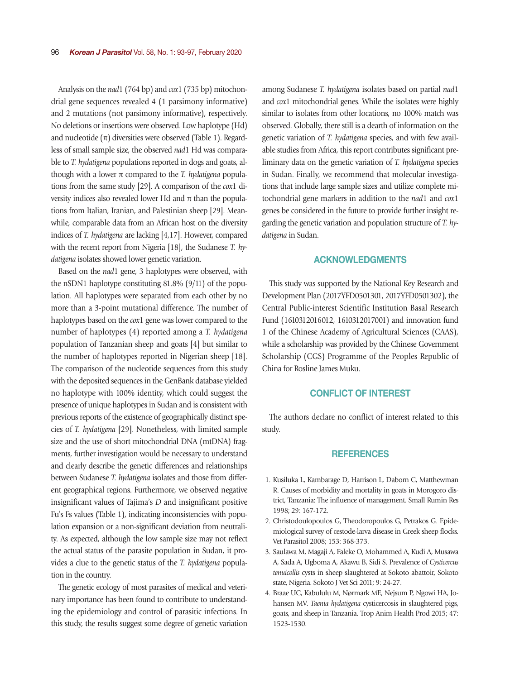Analysis on the *nad*1 (764 bp) and *cox*1 (735 bp) mitochondrial gene sequences revealed 4 (1 parsimony informative) and 2 mutations (not parsimony informative), respectively. No deletions or insertions were observed. Low haplotype (Hd) and nucleotide  $(\pi)$  diversities were observed (Table 1). Regardless of small sample size, the observed *nad*1 Hd was comparable to *T. hydatigena* populations reported in dogs and goats, although with a lower π compared to the *T. hydatigena* populations from the same study [29]. A comparison of the *cox*1 diversity indices also revealed lower Hd and  $\pi$  than the populations from Italian, Iranian, and Palestinian sheep [29]. Meanwhile, comparable data from an African host on the diversity indices of *T. hydatigena* are lacking [4,17]. However, compared with the recent report from Nigeria [18], the Sudanese *T. hydatigena* isolates showed lower genetic variation.

Based on the *nad*1 gene, 3 haplotypes were observed, with the nSDN1 haplotype constituting 81.8% (9/11) of the population. All haplotypes were separated from each other by no more than a 3-point mutational difference. The number of haplotypes based on the *cox*1 gene was lower compared to the number of haplotypes (4) reported among a *T. hydatigena* population of Tanzanian sheep and goats [4] but similar to the number of haplotypes reported in Nigerian sheep [18]. The comparison of the nucleotide sequences from this study with the deposited sequences in the GenBank database yielded no haplotype with 100% identity, which could suggest the presence of unique haplotypes in Sudan and is consistent with previous reports of the existence of geographically distinct species of *T. hydatigena* [29]. Nonetheless, with limited sample size and the use of short mitochondrial DNA (mtDNA) fragments, further investigation would be necessary to understand and clearly describe the genetic differences and relationships between Sudanese *T. hydatigena* isolates and those from different geographical regions. Furthermore, we observed negative insignificant values of Tajima's *D* and insignificant positive Fu's Fs values (Table 1), indicating inconsistencies with population expansion or a non-significant deviation from neutrality. As expected, although the low sample size may not reflect the actual status of the parasite population in Sudan, it provides a clue to the genetic status of the *T. hydatigena* population in the country.

The genetic ecology of most parasites of medical and veterinary importance has been found to contribute to understanding the epidemiology and control of parasitic infections. In this study, the results suggest some degree of genetic variation among Sudanese *T. hydatigena* isolates based on partial *nad*1 and *cox*1 mitochondrial genes. While the isolates were highly similar to isolates from other locations, no 100% match was observed. Globally, there still is a dearth of information on the genetic variation of *T. hydatigena* species, and with few available studies from Africa, this report contributes significant preliminary data on the genetic variation of *T. hydatigena* species in Sudan. Finally, we recommend that molecular investigations that include large sample sizes and utilize complete mitochondrial gene markers in addition to the *nad*1 and *cox*1 genes be considered in the future to provide further insight regarding the genetic variation and population structure of *T. hydatigena* in Sudan.

## ACKNOWLEDGMENTS

This study was supported by the National Key Research and Development Plan (2017YFD0501301, 2017YFD0501302), the Central Public-interest Scientific Institution Basal Research Fund (1610312016012, 1610312017001) and innovation fund 1 of the Chinese Academy of Agricultural Sciences (CAAS), while a scholarship was provided by the Chinese Government Scholarship (CGS) Programme of the Peoples Republic of China for Rosline James Muku.

### CONFLICT OF INTEREST

The authors declare no conflict of interest related to this study.

### **REFERENCES**

- 1. Kusiluka L, Kambarage D, Harrison L, Daborn C, Matthewman R. Causes of morbidity and mortality in goats in Morogoro district, Tanzania: The influence of management. Small Rumin Res 1998; 29: 167-172.
- 2. Christodoulopoulos G, Theodoropoulos G, Petrakos G. Epidemiological survey of cestode-larva disease in Greek sheep flocks. Vet Parasitol 2008; 153: 368-373.
- 3. Saulawa M, Magaji A, Faleke O, Mohammed A, Kudi A, Musawa A, Sada A, Ugboma A, Akawu B, Sidi S. Prevalence of *Cysticercus tenuicollis* cysts in sheep slaughtered at Sokoto abattoir, Sokoto state, Nigeria. Sokoto J Vet Sci 2011; 9: 24-27.
- 4. Braae UC, Kabululu M, Nørmark ME, Nejsum P, Ngowi HA, Johansen MV. *Taenia hydatigena* cysticercosis in slaughtered pigs, goats, and sheep in Tanzania. Trop Anim Health Prod 2015; 47: 1523-1530.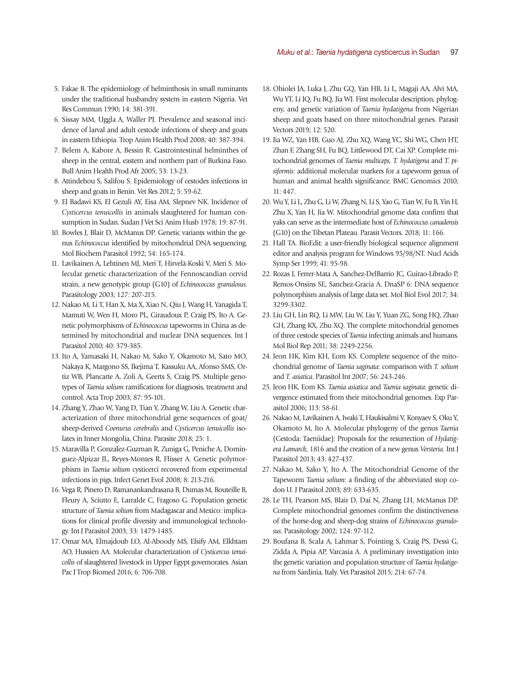- 5. Fakae B. The epidemiology of helminthosis in small ruminants under the traditional husbandry system in eastern Nigeria. Vet Res Commun 1990; 14: 381-391.
- 6. Sissay MM, Uggla A, Waller PJ. Prevalence and seasonal incidence of larval and adult cestode infections of sheep and goats in eastern Ethiopia. Trop Anim Health Prod 2008; 40: 387-394.
- 7. Belem A, Kabore A, Bessin R. Gastrointestinal helminthes of sheep in the central, eastern and northern part of Burkina Faso. Bull Anim Health Prod Afr 2005; 53: 13-23.
- 8. Attindehou S, Salifou S. Epidemiology of cestodes infections in sheep and goats in Benin. Vet Res 2012; 5: 59-62.
- 9. El Badawi KS, El Gezuli AY, Eisa AM, Slepnev NK. Incidence of *Cysticercus tenuicollis* in animals slaughtered for human consumption in Sudan. Sudan J Vet Sci Anim Husb 1978; 19: 87-91.
- 10. Bowles J, Blair D, McManus DP. Genetic variants within the genus *Echinococcus* identified by mitochondrial DNA sequencing. Mol Biochem Parasitol 1992; 54: 165-174.
- 11. Lavikainen A, Lehtinen MJ, Meri T, Hirvelä-Koski V, Meri S. Molecular genetic characterization of the Fennoscandian cervid strain, a new genotypic group (G10) of *Echinococcus granulosus*. Parasitology 2003; 127: 207-215.
- 12. Nakao M, Li T, Han X, Ma X, Xiao N, Qiu J, Wang H, Yanagida T, Mamuti W, Wen H, Moro PL, Giraudoux P, Craig PS, Ito A. Genetic polymorphisms of *Echinococcus* tapeworms in China as determined by mitochondrial and nuclear DNA sequences. Int J Parasitol 2010; 40: 379-385.
- 13. Ito A, Yamasaki H, Nakao M, Sako Y, Okamoto M, Sato MO, Nakaya K, Margono SS, Ikejima T, Kassuku AA, Afonso SMS, Ortiz WB, Plancarte A, Zoli A, Geerts S, Craig PS. Multiple genotypes of *Taenia solium* ramifications for diagnosis, treatment and control. Acta Trop 2003; 87: 95-101.
- 14. Zhang Y, Zhao W, Yang D, Tian Y, Zhang W, Liu A. Genetic characterization of three mitochondrial gene sequences of goat/ sheep-derived *Coenurus cerebralis* and *Cysticercus tenuicollis* isolates in Inner Mongolia, China. Parasite 2018; 25: 1.
- 15. Maravilla P, Gonzalez-Guzman R, Zuniga G, Peniche A, Dominguez-Alpizar JL, Reyes-Montes R, Flisser A. Genetic polymorphism in *Taenia solium* cysticerci recovered from experimental infections in pigs. Infect Genet Evol 2008; 8: 213-216.
- 16. Vega R, Pinero D, Ramanankandrasana B, Dumas M, Bouteille B, Fleury A, Sciutto E, Larralde C, Fragoso G. Population genetic structure of *Taenia solium* from Madagascar and Mexico: implications for clinical profile diversity and immunological technology. Int J Parasitol 2003; 33: 1479-1485.
- 17. Omar MA, Elmajdoub LO, Al-Aboody MS, Elsify AM, Elkhtam AO, Hussien AA. Molecular characterization of *Cysticercus tenuicollis* of slaughtered livestock in Upper Egypt governorates. Asian Pac J Trop Biomed 2016; 6: 706-708.
- 18. Ohiolei JA, Luka J, Zhu GQ, Yan HB, Li L, Magaji AA, Alvi MA, Wu YT, Li JQ, Fu BQ, Jia WJ. First molecular description, phylogeny, and genetic variation of *Taenia hydatigena* from Nigerian sheep and goats based on three mitochondrial genes. Parasit Vectors 2019; 12: 520.
- 19. Jia WZ, Yan HB, Guo AJ, Zhu XQ, Wang YC, Shi WG, Chen HT, Zhan F, Zhang SH, Fu BQ, Littlewood DT, Cai XP. Complete mitochondrial genomes of *Taenia multiceps, T. hydatigena* and *T. pisiformis*: additional molecular markers for a tapeworm genus of human and animal health significance. BMC Genomics 2010; 11: 447.
- 20. Wu Y, Li L, Zhu G, Li W, Zhang N, Li S, Yao G, Tian W, Fu B, Yin H, Zhu X, Yan H, Jia W. Mitochondrial genome data confirm that yaks can serve as the intermediate host of *Echinococcus canadensis* (G10) on the Tibetan Plateau. Parasit Vectors. 2018; 11: 166.
- 21. Hall TA. BioEdit: a user-friendly biological sequence alignment editor and analysis program for Windows 95/98/NT. Nucl Acids Symp Ser 1999; 41: 95-98.
- 22. Rozas J, Ferrer-Mata A, Sanchez-DelBarrio JC, Guirao-Librado P, Remos-Onsins SE, Sanchez-Gracia A. DnaSP 6: DNA sequence polymorphism analysis of large data set. Mol Biol Evol 2017; 34: 3299-3302.
- 23. Liu GH, Lin RQ, Li MW, Liu W, Liu Y, Yuan ZG, Song HQ, Zhao GH, Zhang KX, Zhu XQ. The complete mitochondrial genomes of three cestode species of *Taenia* infecting animals and humans. Mol Biol Rep 2011; 38: 2249-2256.
- 24. Jeon HK, Kim KH, Eom KS. Complete sequence of the mitochondrial genome of *Taenia saginata*: comparison with *T. solium*  and *T. asiatica*. Parasitol Int 2007; 56: 243-246.
- 25. Jeon HK, Eom KS. *Taenia asiatica* and *Taenia saginata*: genetic divergence estimated from their mitochondrial genomes. Exp Parasitol 2006; 113: 58-61.
- 26. Nakao M, Lavikainen A, Iwaki T, Haukisalmi V, Konyaev S, Oku Y, Okamoto M, Ito A. Molecular phylogeny of the genus *Taenia*  (Cestoda: Taeniidae): Proposals for the resurrection of *Hydatigera Lamarck*, 1816 and the creation of a new genus *Versteria*. Int J Parasitol 2013; 43: 427-437.
- 27. Nakao M, Sako Y, Ito A. The Mitochondrial Genome of the Tapeworm *Taenia solium*: a finding of the abbreviated stop codon U. J Parasitol 2003; 89: 633-635.
- 28. Le TH, Pearson MS, Blair D, Dai N, Zhang LH, McManus DP. Complete mitochondrial genomes confirm the distinctiveness of the horse-dog and sheep-dog strains of *Echinococcus granulosus*. Parasitology 2002; 124: 97-112.
- 29. Boufana B, Scala A, Lahmar S, Pointing S, Craig PS, Dessì G, Zidda A, Pipia AP, Varcasia A. A preliminary investigation into the genetic variation and population structure of *Taenia hydatigena* from Sardinia, Italy. Vet Parasitol 2015; 214: 67-74.